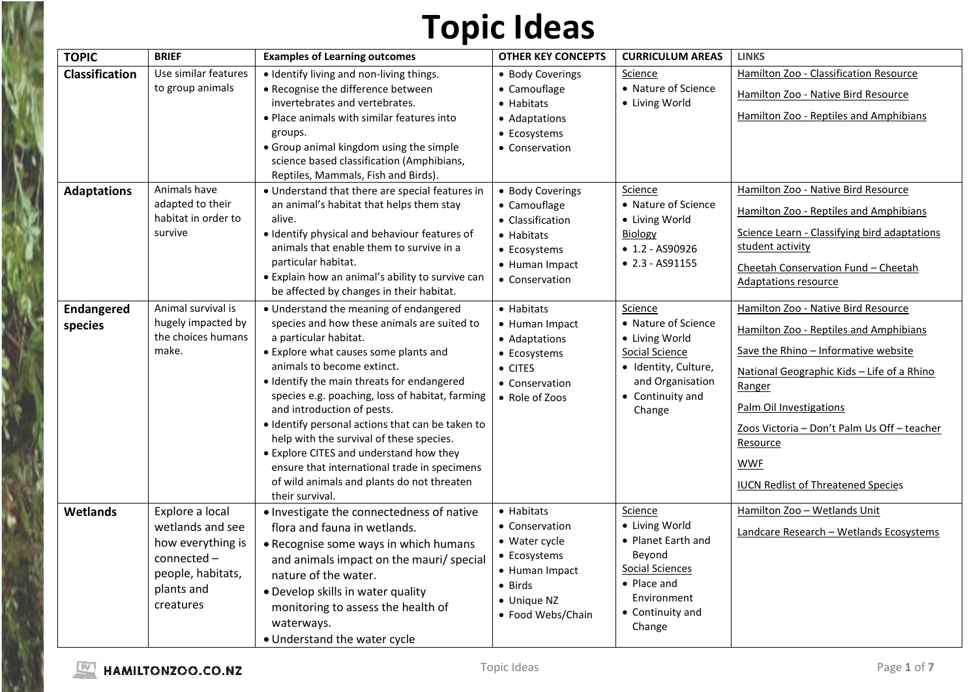| <b>TOPIC</b>                 | <b>BRIEF</b>                                                                                                            | <b>Examples of Learning outcomes</b>                                                                                                                                                                                                                                                                                                                                                                                                                                                                                                                                             | <b>OTHER KEY CONCEPTS</b>                                                                                                                      | <b>CURRICULUM AREAS</b>                                                                                                                         | <b>LINKS</b>                                                                                                                                                                                                                                                                                                                          |
|------------------------------|-------------------------------------------------------------------------------------------------------------------------|----------------------------------------------------------------------------------------------------------------------------------------------------------------------------------------------------------------------------------------------------------------------------------------------------------------------------------------------------------------------------------------------------------------------------------------------------------------------------------------------------------------------------------------------------------------------------------|------------------------------------------------------------------------------------------------------------------------------------------------|-------------------------------------------------------------------------------------------------------------------------------------------------|---------------------------------------------------------------------------------------------------------------------------------------------------------------------------------------------------------------------------------------------------------------------------------------------------------------------------------------|
| <b>Classification</b>        | Use similar features<br>to group animals                                                                                | · Identify living and non-living things.<br>• Recognise the difference between<br>invertebrates and vertebrates.<br>• Place animals with similar features into<br>groups.<br>• Group animal kingdom using the simple<br>science based classification (Amphibians,<br>Reptiles, Mammals, Fish and Birds).                                                                                                                                                                                                                                                                         | • Body Coverings<br>$\bullet$ Camouflage<br>• Habitats<br>• Adaptations<br>• Ecosystems<br>• Conservation                                      | Science<br>• Nature of Science<br>• Living World                                                                                                | Hamilton Zoo - Classification Resource<br>Hamilton Zoo - Native Bird Resource<br>Hamilton Zoo - Reptiles and Amphibians                                                                                                                                                                                                               |
| <b>Adaptations</b>           | Animals have<br>adapted to their<br>habitat in order to<br>survive                                                      | • Understand that there are special features in<br>an animal's habitat that helps them stay<br>alive.<br>· Identify physical and behaviour features of<br>animals that enable them to survive in a<br>particular habitat.<br>• Explain how an animal's ability to survive can<br>be affected by changes in their habitat.                                                                                                                                                                                                                                                        | • Body Coverings<br>• Camouflage<br>• Classification<br>• Habitats<br>• Ecosystems<br>• Human Impact<br>• Conservation                         | Science<br>• Nature of Science<br>• Living World<br><b>Biology</b><br>$\bullet$ 1.2 - AS90926<br>$\bullet$ 2.3 - AS91155                        | Hamilton Zoo - Native Bird Resource<br>Hamilton Zoo - Reptiles and Amphibians<br>Science Learn - Classifying bird adaptations<br>student activity<br>Cheetah Conservation Fund - Cheetah<br><b>Adaptations resource</b>                                                                                                               |
| <b>Endangered</b><br>species | Animal survival is<br>hugely impacted by<br>the choices humans<br>make.                                                 | • Understand the meaning of endangered<br>species and how these animals are suited to<br>a particular habitat.<br>• Explore what causes some plants and<br>animals to become extinct.<br>• Identify the main threats for endangered<br>species e.g. poaching, loss of habitat, farming<br>and introduction of pests.<br>· Identify personal actions that can be taken to<br>help with the survival of these species.<br>• Explore CITES and understand how they<br>ensure that international trade in specimens<br>of wild animals and plants do not threaten<br>their survival. | $\bullet$ Habitats<br>• Human Impact<br>• Adaptations<br>• Ecosystems<br>$\bullet$ CITES<br>• Conservation<br>• Role of Zoos                   | Science<br>• Nature of Science<br>• Living World<br>Social Science<br>· Identity, Culture,<br>and Organisation<br>• Continuity and<br>Change    | Hamilton Zoo - Native Bird Resource<br>Hamilton Zoo - Reptiles and Amphibians<br>Save the Rhino - Informative website<br>National Geographic Kids - Life of a Rhino<br>Ranger<br>Palm Oil Investigations<br>Zoos Victoria - Don't Palm Us Off - teacher<br><u>Resource</u><br><b>WWF</b><br><b>IUCN Redlist of Threatened Species</b> |
| <b>Wetlands</b>              | Explore a local<br>wetlands and see<br>how everything is<br>connected -<br>people, habitats,<br>plants and<br>creatures | . Investigate the connectedness of native<br>flora and fauna in wetlands.<br>• Recognise some ways in which humans<br>and animals impact on the mauri/ special<br>nature of the water.<br>• Develop skills in water quality<br>monitoring to assess the health of<br>waterways.<br>• Understand the water cycle                                                                                                                                                                                                                                                                  | $\bullet$ Habitats<br>• Conservation<br>• Water cycle<br>• Ecosystems<br>• Human Impact<br>$\bullet$ Birds<br>• Unique NZ<br>• Food Webs/Chain | Science<br>• Living World<br>• Planet Earth and<br>Beyond<br><b>Social Sciences</b><br>• Place and<br>Environment<br>• Continuity and<br>Change | Hamilton Zoo - Wetlands Unit<br>Landcare Research - Wetlands Ecosystems                                                                                                                                                                                                                                                               |

Į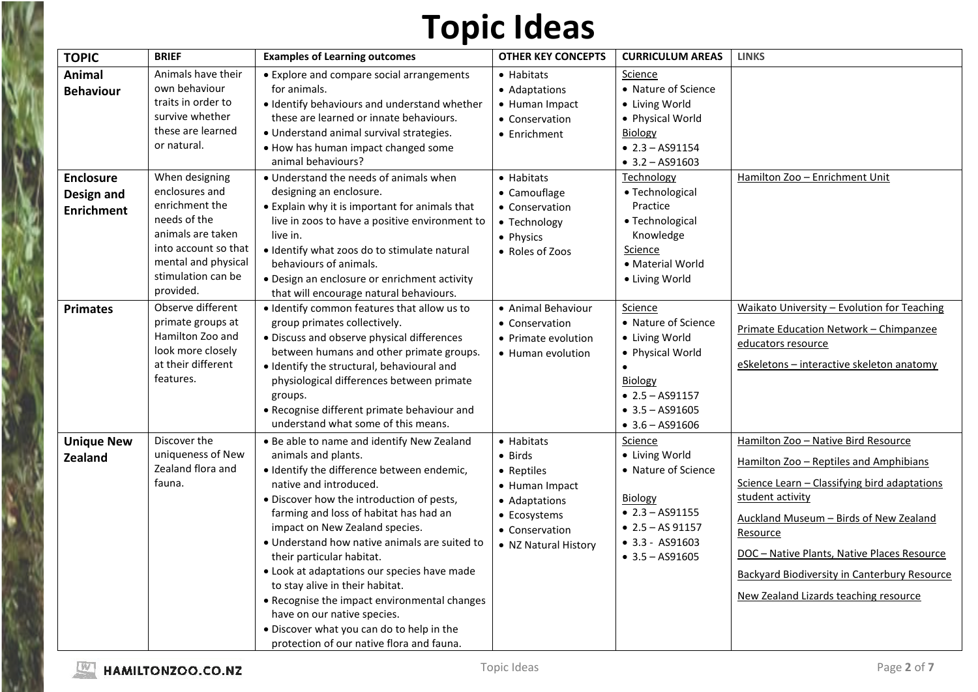| <b>TOPIC</b>                                        | <b>BRIEF</b>                                                                                                                                                              | <b>Examples of Learning outcomes</b>                                                                                                                                                                                                                                                                                                                                                                                                                                                                                                                                                                        | <b>OTHER KEY CONCEPTS</b>                                                                                                        | <b>CURRICULUM AREAS</b>                                                                                                                                            | <b>LINKS</b>                                                                                                                                                                                                                                                                                                                                    |
|-----------------------------------------------------|---------------------------------------------------------------------------------------------------------------------------------------------------------------------------|-------------------------------------------------------------------------------------------------------------------------------------------------------------------------------------------------------------------------------------------------------------------------------------------------------------------------------------------------------------------------------------------------------------------------------------------------------------------------------------------------------------------------------------------------------------------------------------------------------------|----------------------------------------------------------------------------------------------------------------------------------|--------------------------------------------------------------------------------------------------------------------------------------------------------------------|-------------------------------------------------------------------------------------------------------------------------------------------------------------------------------------------------------------------------------------------------------------------------------------------------------------------------------------------------|
| <b>Animal</b><br><b>Behaviour</b>                   | Animals have their<br>own behaviour<br>traits in order to<br>survive whether<br>these are learned<br>or natural.                                                          | • Explore and compare social arrangements<br>for animals.<br>· Identify behaviours and understand whether<br>these are learned or innate behaviours.<br>· Understand animal survival strategies.<br>. How has human impact changed some<br>animal behaviours?                                                                                                                                                                                                                                                                                                                                               | $\bullet$ Habitats<br>• Adaptations<br>• Human Impact<br>• Conservation<br>• Enrichment                                          | Science<br>• Nature of Science<br>• Living World<br>• Physical World<br><b>Biology</b><br>$\bullet$ 2.3 - AS91154<br>$\bullet$ 3.2 - AS91603                       |                                                                                                                                                                                                                                                                                                                                                 |
| <b>Enclosure</b><br>Design and<br><b>Enrichment</b> | When designing<br>enclosures and<br>enrichment the<br>needs of the<br>animals are taken<br>into account so that<br>mental and physical<br>stimulation can be<br>provided. | • Understand the needs of animals when<br>designing an enclosure.<br>• Explain why it is important for animals that<br>live in zoos to have a positive environment to<br>live in.<br>· Identify what zoos do to stimulate natural<br>behaviours of animals.<br>• Design an enclosure or enrichment activity<br>that will encourage natural behaviours.                                                                                                                                                                                                                                                      | • Habitats<br>• Camouflage<br>• Conservation<br>• Technology<br>• Physics<br>• Roles of Zoos                                     | Technology<br>• Technological<br>Practice<br>· Technological<br>Knowledge<br>Science<br>• Material World<br>• Living World                                         | Hamilton Zoo - Enrichment Unit                                                                                                                                                                                                                                                                                                                  |
| <b>Primates</b>                                     | Observe different<br>primate groups at<br>Hamilton Zoo and<br>look more closely<br>at their different<br>features.                                                        | . Identify common features that allow us to<br>group primates collectively.<br>• Discuss and observe physical differences<br>between humans and other primate groups.<br>· Identify the structural, behavioural and<br>physiological differences between primate<br>groups.<br>• Recognise different primate behaviour and<br>understand what some of this means.                                                                                                                                                                                                                                           | • Animal Behaviour<br>• Conservation<br>• Primate evolution<br>• Human evolution                                                 | <b>Science</b><br>• Nature of Science<br>• Living World<br>• Physical World<br><b>Biology</b><br>$\bullet$ 2.5 - AS91157<br>$-3.5 - AS91605$<br>$• 3.6 - AS91606$  | <b>Waikato University - Evolution for Teaching</b><br>Primate Education Network - Chimpanzee<br>educators resource<br>eSkeletons - interactive skeleton anatomy                                                                                                                                                                                 |
| <b>Unique New</b><br><b>Zealand</b>                 | Discover the<br>uniqueness of New<br>Zealand flora and<br>fauna.                                                                                                          | . Be able to name and identify New Zealand<br>animals and plants.<br>· Identify the difference between endemic,<br>native and introduced.<br>• Discover how the introduction of pests,<br>farming and loss of habitat has had an<br>impact on New Zealand species.<br>• Understand how native animals are suited to<br>their particular habitat.<br>• Look at adaptations our species have made<br>to stay alive in their habitat.<br>• Recognise the impact environmental changes<br>have on our native species.<br>. Discover what you can do to help in the<br>protection of our native flora and fauna. | • Habitats<br>• Birds<br>• Reptiles<br>• Human Impact<br>• Adaptations<br>• Ecosystems<br>• Conservation<br>• NZ Natural History | Science<br>• Living World<br>• Nature of Science<br>Biology<br>$\bullet$ 2.3 - AS91155<br>$\bullet$ 2.5 - AS 91157<br>$• 3.3 - AS91603$<br>$\bullet$ 3.5 - AS91605 | Hamilton Zoo - Native Bird Resource<br>Hamilton Zoo - Reptiles and Amphibians<br>Science Learn - Classifying bird adaptations<br>student activity<br>Auckland Museum - Birds of New Zealand<br>Resource<br>DOC - Native Plants, Native Places Resource<br>Backyard Biodiversity in Canterbury Resource<br>New Zealand Lizards teaching resource |

W

i<br>K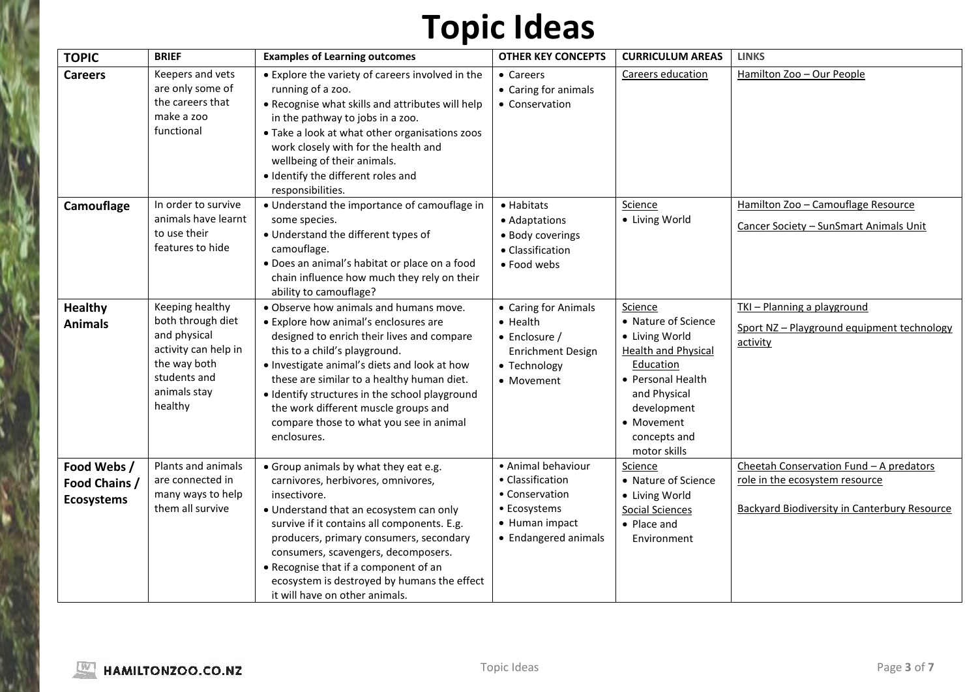| <b>TOPIC</b>                                      | <b>BRIEF</b>                                                                                                                            | <b>Examples of Learning outcomes</b>                                                                                                                                                                                                                                                                                                                                                                             | <b>OTHER KEY CONCEPTS</b>                                                                                           | <b>CURRICULUM AREAS</b>                                                                                                                                                                       | <b>LINKS</b>                                                                                                                     |
|---------------------------------------------------|-----------------------------------------------------------------------------------------------------------------------------------------|------------------------------------------------------------------------------------------------------------------------------------------------------------------------------------------------------------------------------------------------------------------------------------------------------------------------------------------------------------------------------------------------------------------|---------------------------------------------------------------------------------------------------------------------|-----------------------------------------------------------------------------------------------------------------------------------------------------------------------------------------------|----------------------------------------------------------------------------------------------------------------------------------|
| <b>Careers</b>                                    | Keepers and vets<br>are only some of<br>the careers that<br>make a zoo<br>functional                                                    | • Explore the variety of careers involved in the<br>running of a zoo.<br>. Recognise what skills and attributes will help<br>in the pathway to jobs in a zoo.<br>• Take a look at what other organisations zoos<br>work closely with for the health and<br>wellbeing of their animals.<br>· Identify the different roles and<br>responsibilities.                                                                | • Careers<br>• Caring for animals<br>• Conservation                                                                 | Careers education                                                                                                                                                                             | Hamilton Zoo - Our People                                                                                                        |
| Camouflage                                        | In order to survive<br>animals have learnt<br>to use their<br>features to hide                                                          | • Understand the importance of camouflage in<br>some species.<br>• Understand the different types of<br>camouflage.<br>· Does an animal's habitat or place on a food<br>chain influence how much they rely on their<br>ability to camouflage?                                                                                                                                                                    | • Habitats<br>• Adaptations<br>· Body coverings<br>• Classification<br>• Food webs                                  | Science<br>• Living World                                                                                                                                                                     | Hamilton Zoo - Camouflage Resource<br>Cancer Society - SunSmart Animals Unit                                                     |
| <b>Healthy</b><br><b>Animals</b>                  | Keeping healthy<br>both through diet<br>and physical<br>activity can help in<br>the way both<br>students and<br>animals stay<br>healthy | . Observe how animals and humans move.<br>• Explore how animal's enclosures are<br>designed to enrich their lives and compare<br>this to a child's playground.<br>. Investigate animal's diets and look at how<br>these are similar to a healthy human diet.<br>• Identify structures in the school playground<br>the work different muscle groups and<br>compare those to what you see in animal<br>enclosures. | • Caring for Animals<br>• Health<br>$\bullet$ Enclosure /<br><b>Enrichment Design</b><br>• Technology<br>• Movement | Science<br>• Nature of Science<br>• Living World<br><b>Health and Physical</b><br>Education<br>• Personal Health<br>and Physical<br>development<br>• Movement<br>concepts and<br>motor skills | TKI - Planning a playground<br>Sport NZ-Playground equipment technology<br>activity                                              |
| Food Webs /<br>Food Chains /<br><b>Ecosystems</b> | Plants and animals<br>are connected in<br>many ways to help<br>them all survive                                                         | • Group animals by what they eat e.g.<br>carnivores, herbivores, omnivores,<br>insectivore.<br>• Understand that an ecosystem can only<br>survive if it contains all components. E.g.<br>producers, primary consumers, secondary<br>consumers, scavengers, decomposers.<br>• Recognise that if a component of an<br>ecosystem is destroyed by humans the effect<br>it will have on other animals.                | · Animal behaviour<br>• Classification<br>• Conservation<br>• Ecosystems<br>• Human impact<br>• Endangered animals  | Science<br>• Nature of Science<br>• Living World<br><b>Social Sciences</b><br>• Place and<br>Environment                                                                                      | Cheetah Conservation Fund - A predators<br>role in the ecosystem resource<br><b>Backyard Biodiversity in Canterbury Resource</b> |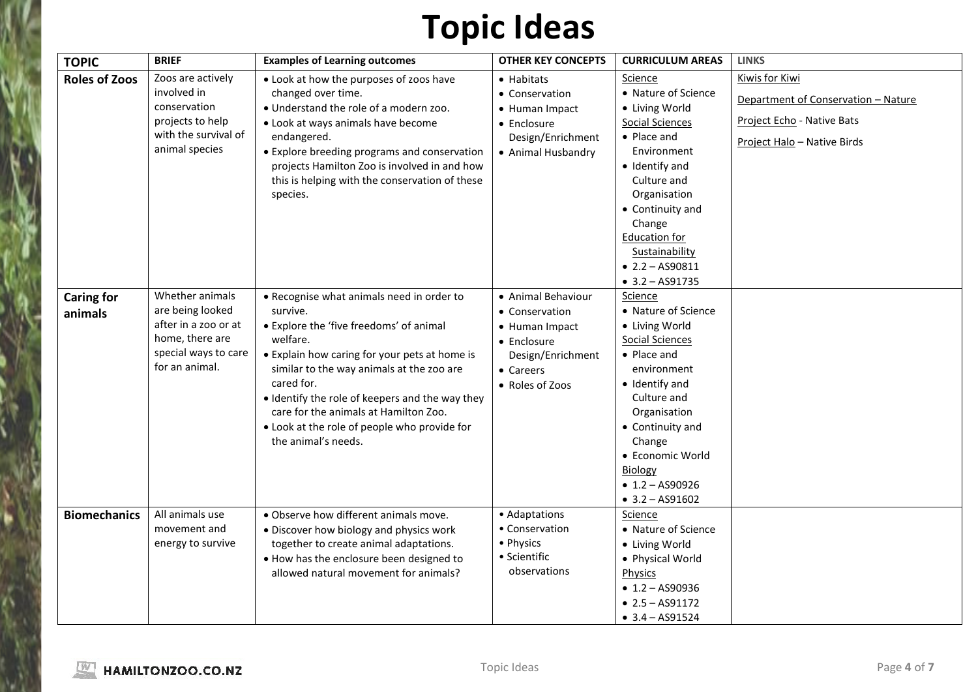| <b>TOPIC</b>         | <b>BRIEF</b>                             | <b>Examples of Learning outcomes</b>                                                         | <b>OTHER KEY CONCEPTS</b> | <b>CURRICULUM AREAS</b>       | <b>LINKS</b>                        |
|----------------------|------------------------------------------|----------------------------------------------------------------------------------------------|---------------------------|-------------------------------|-------------------------------------|
| <b>Roles of Zoos</b> | Zoos are actively                        | • Look at how the purposes of zoos have                                                      | • Habitats                | Science                       | <b>Kiwis for Kiwi</b>               |
|                      | involved in                              | changed over time.                                                                           | • Conservation            | • Nature of Science           | Department of Conservation - Nature |
|                      | conservation                             | . Understand the role of a modern zoo.                                                       | • Human Impact            | • Living World                |                                     |
|                      | projects to help<br>with the survival of | • Look at ways animals have become                                                           | • Enclosure               | Social Sciences               | Project Echo - Native Bats          |
|                      | animal species                           | endangered.                                                                                  | Design/Enrichment         | • Place and                   | Project Halo - Native Birds         |
|                      |                                          | • Explore breeding programs and conservation<br>projects Hamilton Zoo is involved in and how | • Animal Husbandry        | Environment<br>• Identify and |                                     |
|                      |                                          | this is helping with the conservation of these                                               |                           | Culture and                   |                                     |
|                      |                                          | species.                                                                                     |                           | Organisation                  |                                     |
|                      |                                          |                                                                                              |                           | • Continuity and              |                                     |
|                      |                                          |                                                                                              |                           | Change                        |                                     |
|                      |                                          |                                                                                              |                           | <b>Education for</b>          |                                     |
|                      |                                          |                                                                                              |                           | Sustainability                |                                     |
|                      |                                          |                                                                                              |                           | $\bullet$ 2.2 - AS90811       |                                     |
|                      |                                          |                                                                                              |                           | $-3.2 - AS91735$              |                                     |
| <b>Caring for</b>    | Whether animals                          | • Recognise what animals need in order to                                                    | • Animal Behaviour        | Science                       |                                     |
| animals              | are being looked                         | survive.                                                                                     | • Conservation            | • Nature of Science           |                                     |
|                      | after in a zoo or at                     | • Explore the 'five freedoms' of animal                                                      | • Human Impact            | • Living World                |                                     |
|                      | home, there are                          | welfare.                                                                                     | • Enclosure               | Social Sciences               |                                     |
|                      | special ways to care<br>for an animal.   | • Explain how caring for your pets at home is                                                | Design/Enrichment         | $\bullet$ Place and           |                                     |
|                      |                                          | similar to the way animals at the zoo are                                                    | • Careers                 | environment                   |                                     |
|                      |                                          | cared for.                                                                                   | • Roles of Zoos           | • Identify and                |                                     |
|                      |                                          | • Identify the role of keepers and the way they<br>care for the animals at Hamilton Zoo.     |                           | Culture and<br>Organisation   |                                     |
|                      |                                          | . Look at the role of people who provide for                                                 |                           | • Continuity and              |                                     |
|                      |                                          | the animal's needs.                                                                          |                           | Change                        |                                     |
|                      |                                          |                                                                                              |                           | • Economic World              |                                     |
|                      |                                          |                                                                                              |                           | <b>Biology</b>                |                                     |
|                      |                                          |                                                                                              |                           | $\bullet$ 1.2 - AS90926       |                                     |
|                      |                                          |                                                                                              |                           | $-3.2 - AS91602$              |                                     |
| <b>Biomechanics</b>  | All animals use                          | . Observe how different animals move.                                                        | • Adaptations             | Science                       |                                     |
|                      | movement and                             | • Discover how biology and physics work                                                      | • Conservation            | • Nature of Science           |                                     |
|                      | energy to survive                        | together to create animal adaptations.                                                       | • Physics                 | • Living World                |                                     |
|                      |                                          | . How has the enclosure been designed to                                                     | • Scientific              | • Physical World              |                                     |
|                      |                                          | allowed natural movement for animals?                                                        | observations              | Physics                       |                                     |
|                      |                                          |                                                                                              |                           | $\bullet$ 1.2 - AS90936       |                                     |
|                      |                                          |                                                                                              |                           | $\bullet$ 2.5 - AS91172       |                                     |
|                      |                                          |                                                                                              |                           | $-3.4 - AS91524$              |                                     |